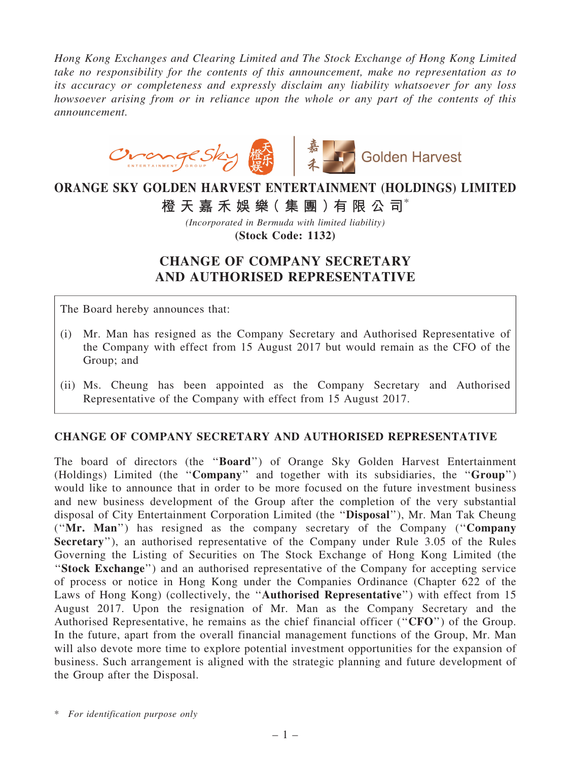*Hong Kong Exchanges and Clearing Limited and The Stock Exchange of Hong Kong Limited take no responsibility for the contents of this announcement, make no representation as to its accuracy or completeness and expressly disclaim any liability whatsoever for any loss howsoever arising from or in reliance upon the whole or any part of the contents of this announcement.*



## ORANGE SKY GOLDEN HARVEST ENTERTAINMENT (HOLDINGS) LIMITED

橙 天 嘉 禾 娛 樂 (集 團 ) 有 限 公 司 $^*$ 

*(Incorporated in Bermuda with limited liability)* (Stock Code: 1132)

## CHANGE OF COMPANY SECRETARY AND AUTHORISED REPRESENTATIVE

The Board hereby announces that:

- (i) Mr. Man has resigned as the Company Secretary and Authorised Representative of the Company with effect from 15 August 2017 but would remain as the CFO of the Group; and
- (ii) Ms. Cheung has been appointed as the Company Secretary and Authorised Representative of the Company with effect from 15 August 2017.

## CHANGE OF COMPANY SECRETARY AND AUTHORISED REPRESENTATIVE

The board of directors (the ''Board'') of Orange Sky Golden Harvest Entertainment (Holdings) Limited (the ''Company'' and together with its subsidiaries, the ''Group'') would like to announce that in order to be more focused on the future investment business and new business development of the Group after the completion of the very substantial disposal of City Entertainment Corporation Limited (the ''Disposal''), Mr. Man Tak Cheung (''Mr. Man'') has resigned as the company secretary of the Company (''Company Secretary"), an authorised representative of the Company under Rule 3.05 of the Rules Governing the Listing of Securities on The Stock Exchange of Hong Kong Limited (the ''Stock Exchange'') and an authorised representative of the Company for accepting service of process or notice in Hong Kong under the Companies Ordinance (Chapter 622 of the Laws of Hong Kong) (collectively, the "Authorised Representative") with effect from 15 August 2017. Upon the resignation of Mr. Man as the Company Secretary and the Authorised Representative, he remains as the chief financial officer ("CFO") of the Group. In the future, apart from the overall financial management functions of the Group, Mr. Man will also devote more time to explore potential investment opportunities for the expansion of business. Such arrangement is aligned with the strategic planning and future development of the Group after the Disposal.

\* *For identification purpose only*